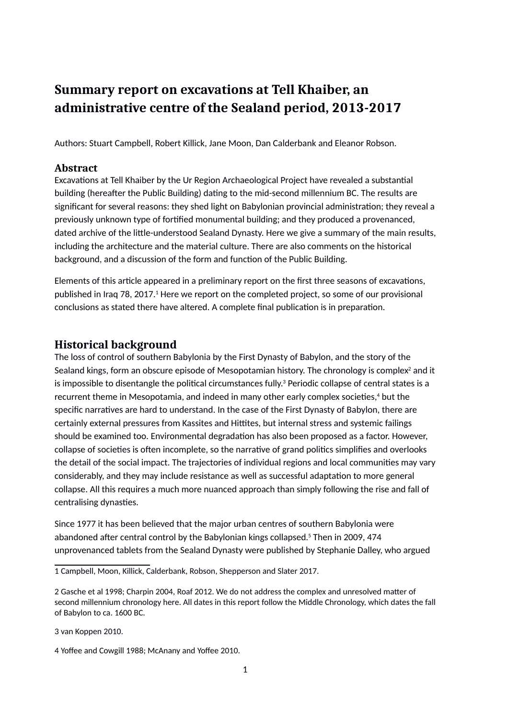# **Summary report on excavations at Tell Khaiber, an administrative centre of the Sealand period, 2013-2017**

Authors: Stuart Campbell, Robert Killick, Jane Moon, Dan Calderbank and Eleanor Robson.

### **Abstract**

Excavations at Tell Khaiber by the Ur Region Archaeological Project have revealed a substantial building (hereafter the Public Building) dating to the mid-second millennium BC. The results are significant for several reasons: they shed light on Babylonian provincial administration; they reveal a previously unknown type of fortified monumental building; and they produced a provenanced, dated archive of the little-understood Sealand Dynasty. Here we give a summary of the main results, including the architecture and the material culture. There are also comments on the historical background, and a discussion of the form and function of the Public Building.

Elements of this article appeared in a preliminary report on the first three seasons of excavations, published in Iraq 78, 20[1](#page-0-0)7.<sup>1</sup> Here we report on the completed project, so some of our provisional conclusions as stated there have altered. A complete final publication is in preparation.

## **Historical background**

The loss of control of southern Babylonia by the First Dynasty of Babylon, and the story of the Sealand kings, form an obscure episode of Mesopotamian history. The chronology is complex $^{\rm 2}$  $^{\rm 2}$  $^{\rm 2}$  and it is impossible to disentangle the political circumstances fully. $^{\rm 3}$  $^{\rm 3}$  $^{\rm 3}$  Periodic collapse of central states is a recurrent theme in Mesopotamia, and indeed in many other early complex societies,<sup>[4](#page-0-3)</sup> but the specific narratives are hard to understand. In the case of the First Dynasty of Babylon, there are certainly external pressures from Kassites and Hittites, but internal stress and systemic failings should be examined too. Environmental degradation has also been proposed as a factor. However, collapse of societies is often incomplete, so the narrative of grand politics simplifies and overlooks the detail of the social impact. The trajectories of individual regions and local communities may vary considerably, and they may include resistance as well as successful adaptation to more general collapse. All this requires a much more nuanced approach than simply following the rise and fall of centralising dynasties.

Since 1977 it has been believed that the major urban centres of southern Babylonia were abandoned after central control by the Babylonian kings collapsed. 5 Then in 2009, 474 unprovenanced tablets from the Sealand Dynasty were published by Stephanie Dalley, who argued

<span id="page-0-2"></span>3 - van Koppen 2010.

<span id="page-0-0"></span><sup>1</sup> - Campbell, Moon, Killick, Calderbank, Robson, Shepperson and Slater 2017.

<span id="page-0-1"></span><sup>2</sup> - Gasche et al 1998; Charpin 2004, Roaf 2012. We do not address the complex and unresolved matter of second millennium chronology here. All dates in this report follow the Middle Chronology, which dates the fall of Babylon to ca. 1600 BC.

<span id="page-0-3"></span><sup>4</sup> - Yoffee and Cowgill 1988; McAnany and Yoffee 2010.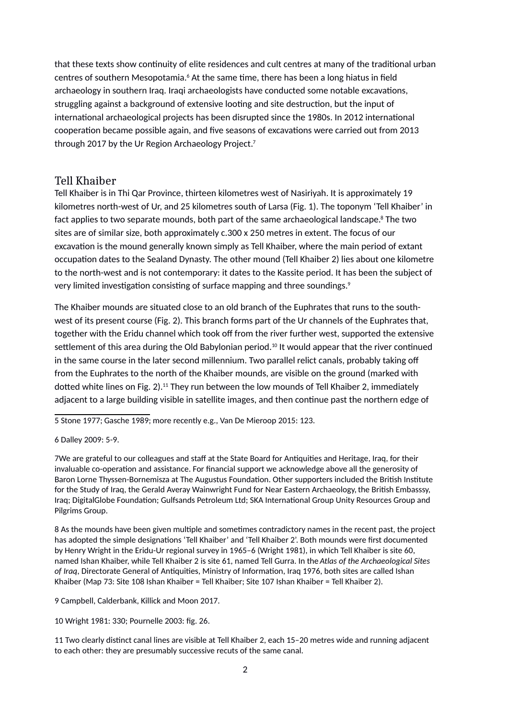that these texts show continuity of elite residences and cult centres at many of the traditional urban centres of southern Mesopotamia.<sup>[6](#page-1-0)</sup> At the same time, there has been a long hiatus in field archaeology in southern Iraq. Iraqi archaeologists have conducted some notable excavations, struggling against a background of extensive looting and site destruction, but the input of international archaeological projects has been disrupted since the 1980s. In 2012 international cooperation became possible again, and five seasons of excavations were carried out from 2013 through 201[7](#page-1-1) by the Ur Region Archaeology Project.<sup>7</sup>

## Tell Khaiber

Tell Khaiber is in Thi Qar Province, thirteen kilometres west of Nasiriyah. It is approximately 19 kilometres north-west of Ur, and 25 kilometres south of Larsa (Fig. 1). The toponym 'Tell Khaiber' in fact applies to two separate mounds, both part of the same archaeological landscape.<sup>[8](#page-1-2)</sup> The two sites are of similar size, both approximately c.300 x 250 metres in extent. The focus of our excavation is the mound generally known simply as Tell Khaiber, where the main period of extant occupation dates to the Sealand Dynasty. The other mound (Tell Khaiber 2) lies about one kilometre to the north-west and is not contemporary: it dates to the Kassite period. It has been the subject of very limited investigation consisting of surface mapping and three soundings.<sup>[9](#page-1-3)</sup>

The Khaiber mounds are situated close to an old branch of the Euphrates that runs to the southwest of its present course (Fig. 2). This branch forms part of the Ur channels of the Euphrates that, together with the Eridu channel which took off from the river further west, supported the extensive settlement of this area during the Old Babylonian period.<sup>[10](#page-1-4)</sup> It would appear that the river continued in the same course in the later second millennium. Two parallel relict canals, probably taking off from the Euphrates to the north of the Khaiber mounds, are visible on the ground (marked with dotted white lines on Fig. 2).<sup>[11](#page-1-5)</sup> They run between the low mounds of Tell Khaiber 2, immediately adjacent to a large building visible in satellite images, and then continue past the northern edge of

5 - Stone 1977; Gasche 1989; more recently e.g., Van De Mieroop 2015: 123.

<span id="page-1-0"></span>6 - Dalley 2009: 5-9.

<span id="page-1-1"></span>7 -We are grateful to our colleagues and staff at the State Board for Antiquities and Heritage, Iraq, for their invaluable co-operation and assistance. For financial support we acknowledge above all the generosity of Baron Lorne Thyssen-Bornemisza at The Augustus Foundation. Other supporters included the British Institute for the Study of Iraq, the Gerald Averay Wainwright Fund for Near Eastern Archaeology, the British Embasssy, Iraq; DigitalGlobe Foundation; Gulfsands Petroleum Ltd; SKA International Group Unity Resources Group and Pilgrims Group.

<span id="page-1-2"></span> $8^\circ$ As the mounds have been given multiple and sometimes contradictory names in the recent past, the project has adopted the simple designations 'Tell Khaiber' and 'Tell Khaiber 2'. Both mounds were first documented by Henry Wright in the Eridu-Ur regional survey in 1965–6 (Wright 1981), in which Tell Khaiber is site 60, named Ishan Khaiber, while Tell Khaiber 2 is site 61, named Tell Gurra. In the *Atlas of the Archaeological Sites of Iraq*, Directorate General of Antiquities, Ministry of Information, Iraq 1976, both sites are called Ishan Khaiber (Map 73: Site 108 Ishan Khaiber = Tell Khaiber; Site 107 Ishan Khaiber = Tell Khaiber 2).

<span id="page-1-3"></span>9 - Campbell, Calderbank, Killick and Moon 2017.

<span id="page-1-4"></span>10- Wright 1981: 330; Pournelle 2003: fig. 26.

<span id="page-1-5"></span>11- Two clearly distinct canal lines are visible at Tell Khaiber 2, each 15–20 metres wide and running adjacent to each other: they are presumably successive recuts of the same canal.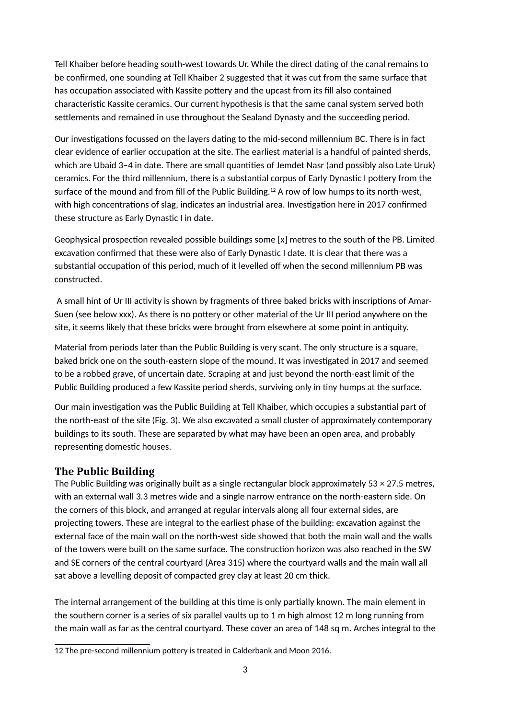Tell Khaiber before heading south-west towards Ur. While the direct dating of the canal remains to be confirmed, one sounding at Tell Khaiber 2 suggested that it was cut from the same surface that has occupation associated with Kassite pottery and the upcast from its fill also contained characteristic Kassite ceramics. Our current hypothesis is that the same canal system served both settlements and remained in use throughout the Sealand Dynasty and the succeeding period.

Our investigations focussed on the layers dating to the mid-second millennium BC. There is in fact clear evidence of earlier occupation at the site. The earliest material is a handful of painted sherds, which are Ubaid 3-4 in date. There are small quantities of Jemdet Nasr (and possibly also Late Uruk) ceramics. For the third millennium, there is a substantial corpus of Early Dynastic I pottery from the surface of the mound and from fill of the Public Building.<sup>[12](#page-2-0)</sup> A row of low humps to its north-west, with high concentrations of slag, indicates an industrial area. Investigation here in 2017 confirmed these structure as Early Dynastic I in date.

Geophysical prospection revealed possible buildings some [x] metres to the south of the PB. Limited excavation confirmed that these were also of Early Dynastic I date. It is clear that there was a substantial occupation of this period, much of it levelled off when the second millennium PB was constructed.

 A small hint of Ur III activity is shown by fragments of three baked bricks with inscriptions of Amar-Suen (see below xxx). As there is no pottery or other material of the Ur III period anywhere on the site, it seems likely that these bricks were brought from elsewhere at some point in antiquity.

Material from periods later than the Public Building is very scant. The only structure is a square, baked brick one on the south-eastern slope of the mound. It was investigated in 2017 and seemed to be a robbed grave, of uncertain date. Scraping at and just beyond the north-east limit of the Public Building produced a few Kassite period sherds, surviving only in tiny humps at the surface.

Our main investigation was the Public Building at Tell Khaiber, which occupies a substantial part of the north-east of the site (Fig. 3). We also excavated a small cluster of approximately contemporary buildings to its south. These are separated by what may have been an open area, and probably representing domestic houses.

## **The Public Building**

The Public Building was originally built as a single rectangular block approximately  $53 \times 27.5$  metres, with an external wall 3.3 metres wide and a single narrow entrance on the north-eastern side. On the corners of this block, and arranged at regular intervals along all four external sides, are projecting towers. These are integral to the earliest phase of the building: excavation against the external face of the main wall on the north-west side showed that both the main wall and the walls of the towers were built on the same surface. The construction horizon was also reached in the SW and SE corners of the central courtyard (Area 315) where the courtyard walls and the main wall all sat above a levelling deposit of compacted grey clay at least 20 cm thick.

The internal arrangement of the building at this time is only partially known. The main element in the southern corner is a series of six parallel vaults up to 1 m high almost 12 m long running from the main wall as far as the central courtyard. These cover an area of 148 sq m. Arches integral to the

<span id="page-2-0"></span><sup>12</sup>- The pre-second millennium pottery is treated in Calderbank and Moon 2016.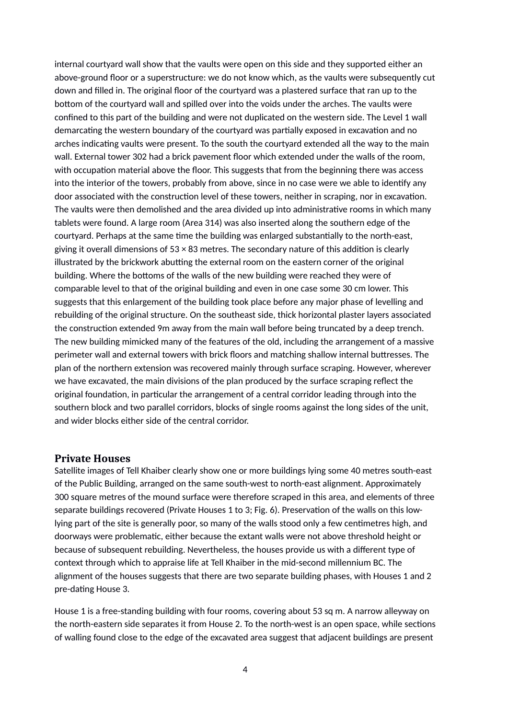internal courtyard wall show that the vaults were open on this side and they supported either an above-ground floor or a superstructure: we do not know which, as the vaults were subsequently cut down and filled in. The original floor of the courtyard was a plastered surface that ran up to the bottom of the courtyard wall and spilled over into the voids under the arches. The vaults were confined to this part of the building and were not duplicated on the western side. The Level 1 wall demarcating the western boundary of the courtyard was partially exposed in excavation and no arches indicating vaults were present. To the south the courtyard extended all the way to the main wall. External tower 302 had a brick pavement floor which extended under the walls of the room, with occupation material above the floor. This suggests that from the beginning there was access into the interior of the towers, probably from above, since in no case were we able to identify any door associated with the construction level of these towers, neither in scraping, nor in excavation. The vaults were then demolished and the area divided up into administrative rooms in which many tablets were found. A large room (Area 314) was also inserted along the southern edge of the courtyard. Perhaps at the same time the building was enlarged substantially to the north-east, giving it overall dimensions of  $53 \times 83$  metres. The secondary nature of this addition is clearly illustrated by the brickwork abutting the external room on the eastern corner of the original building. Where the bottoms of the walls of the new building were reached they were of comparable level to that of the original building and even in one case some 30 cm lower. This suggests that this enlargement of the building took place before any major phase of levelling and rebuilding of the original structure. On the southeast side, thick horizontal plaster layers associated the construction extended 9m away from the main wall before being truncated by a deep trench. The new building mimicked many of the features of the old, including the arrangement of a massive perimeter wall and external towers with brick floors and matching shallow internal buttresses. The plan of the northern extension was recovered mainly through surface scraping. However, wherever we have excavated, the main divisions of the plan produced by the surface scraping reflect the original foundation, in particular the arrangement of a central corridor leading through into the southern block and two parallel corridors, blocks of single rooms against the long sides of the unit, and wider blocks either side of the central corridor.

#### **Private Houses**

Satellite images of Tell Khaiber clearly show one or more buildings lying some 40 metres south-east of the Public Building, arranged on the same south-west to north-east alignment. Approximately 300 square metres of the mound surface were therefore scraped in this area, and elements of three separate buildings recovered (Private Houses 1 to 3; Fig. 6). Preservation of the walls on this lowlying part of the site is generally poor, so many of the walls stood only a few centimetres high, and doorways were problematic, either because the extant walls were not above threshold height or because of subsequent rebuilding. Nevertheless, the houses provide us with a different type of context through which to appraise life at Tell Khaiber in the mid-second millennium BC. The alignment of the houses suggests that there are two separate building phases, with Houses 1 and 2 pre-dating House 3.

House 1 is a free-standing building with four rooms, covering about 53 sq m. A narrow alleyway on the north-eastern side separates it from House 2. To the north-west is an open space, while sections of walling found close to the edge of the excavated area suggest that adjacent buildings are present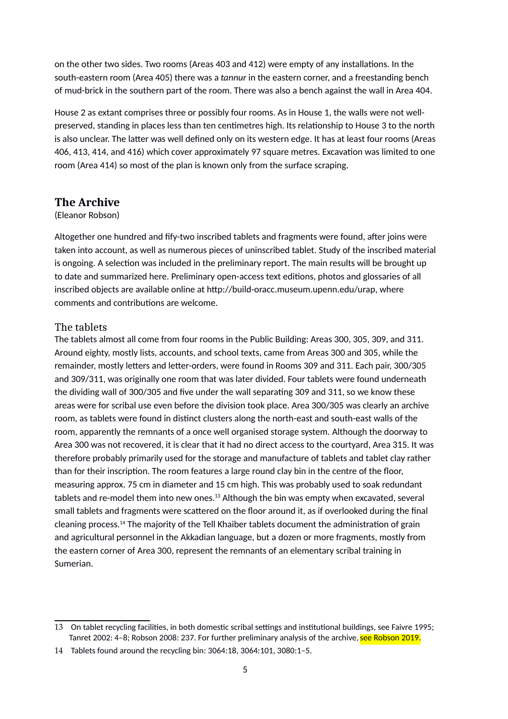on the other two sides. Two rooms (Areas 403 and 412) were empty of any installations. In the south-eastern room (Area 405) there was a *tannur* in the eastern corner, and a freestanding bench of mud-brick in the southern part of the room. There was also a bench against the wall in Area 404.

House 2 as extant comprises three or possibly four rooms. As in House 1, the walls were not wellpreserved, standing in places less than ten centimetres high. Its relationship to House 3 to the north is also unclear. The latter was well defined only on its western edge. It has at least four rooms (Areas 406, 413, 414, and 416) which cover approximately 97 square metres. Excavation was limited to one room (Area 414) so most of the plan is known only from the surface scraping.

## **The Archive**

### (Eleanor Robson)

Altogether one hundred and fify-two inscribed tablets and fragments were found, after joins were taken into account, as well as numerous pieces of uninscribed tablet. Study of the inscribed material is ongoing. A selection was included in the preliminary report. The main results will be brought up to date and summarized here. Preliminary open-access text editions, photos and glossaries of all inscribed objects are available online at http://build-oracc.museum.upenn.edu/urap, where comments and contributions are welcome.

## The tablets

The tablets almost all come from four rooms in the Public Building: Areas 300, 305, 309, and 311. Around eighty, mostly lists, accounts, and school texts, came from Areas 300 and 305, while the remainder, mostly letters and letter-orders, were found in Rooms 309 and 311. Each pair, 300/305 and 309/311, was originally one room that was later divided. Four tablets were found underneath the dividing wall of 300/305 and five under the wall separating 309 and 311, so we know these areas were for scribal use even before the division took place. Area 300/305 was clearly an archive room, as tablets were found in distinct clusters along the north-east and south-east walls of the room, apparently the remnants of a once well organised storage system. Although the doorway to Area 300 was not recovered, it is clear that it had no direct access to the courtyard, Area 315. It was therefore probably primarily used for the storage and manufacture of tablets and tablet clay rather than for their inscription. The room features a large round clay bin in the centre of the floor, measuring approx. 75 cm in diameter and 15 cm high. This was probably used to soak redundant tablets and re-model them into new ones.<sup>[13](#page-4-0)</sup> Although the bin was empty when excavated, several small tablets and fragments were scattered on the floor around it, as if overlooked during the final cleaning process.[14](#page-4-1) The majority of the Tell Khaiber tablets document the administration of grain and agricultural personnel in the Akkadian language, but a dozen or more fragments, mostly from the eastern corner of Area 300, represent the remnants of an elementary scribal training in Sumerian.

<span id="page-4-0"></span> $13$   $^{\circ}$ On tablet recycling facilities, in both domestic scribal settings and institutional buildings, see Faivre 1995; Tanret 2002: 4-8; Robson 2008: 237. For further preliminary analysis of the archive, see Robson 2019.

<span id="page-4-1"></span><sup>14</sup> - Tablets found around the recycling bin: 3064:18, 3064:101, 3080:1–5.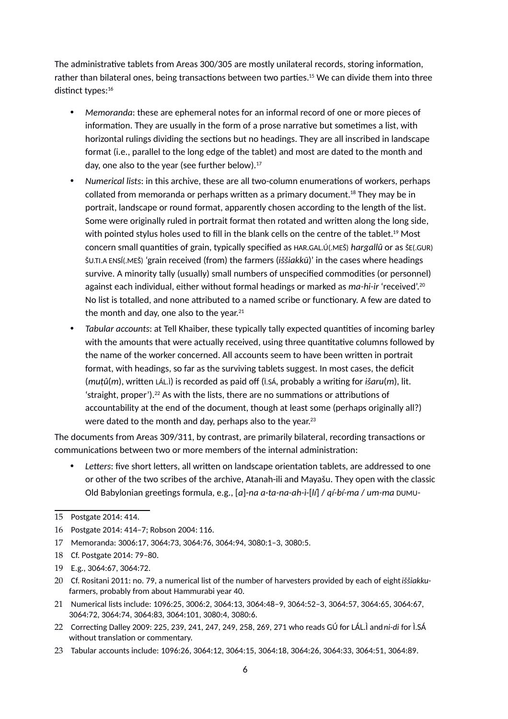The administrative tablets from Areas 300/305 are mostly unilateral records, storing information, rather than bilateral ones, being transactions between two parties.<sup>[15](#page-5-0)</sup> We can divide them into three distinct types:<sup>[16](#page-5-1)</sup>

- *Memoranda*: these are ephemeral notes for an informal record of one or more pieces of information. They are usually in the form of a prose narrative but sometimes a list, with horizontal rulings dividing the sections but no headings. They are all inscribed in landscape format (i.e., parallel to the long edge of the tablet) and most are dated to the month and day, one also to the year (see further below).[17](#page-5-2)
- *Numerical lists*: in this archive, these are all two-column enumerations of workers, perhaps collated from memoranda or perhaps written as a primary document.<sup>[18](#page-5-3)</sup> They may be in portrait, landscape or round format, apparently chosen according to the length of the list. Some were originally ruled in portrait format then rotated and written along the long side, with pointed stylus holes used to fill in the blank cells on the centre of the tablet.<sup>[19](#page-5-4)</sup> Most concern small quantities of grain, typically specified as HAR.GAL.Ú(.MEŠ) *hargallû* or as ŠE(.GUR) ŠU.TI.A ENSÍ(.MEŠ) 'grain received (from) the farmers (*iššiakkū*)' in the cases where headings survive. A minority tally (usually) small numbers of unspecified commodities (or personnel) against each individual, either without formal headings or marked as *ma-hi-ir* 'received'.[20](#page-5-5) No list is totalled, and none attributed to a named scribe or functionary. A few are dated to the month and day, one also to the year. $21$
- *Tabular accounts*: at Tell Khaiber, these typically tally expected quantities of incoming barley with the amounts that were actually received, using three quantitative columns followed by the name of the worker concerned. All accounts seem to have been written in portrait format, with headings, so far as the surviving tablets suggest. In most cases, the deficit (*muṭû*(*m*), written LÁL.Ì) is recorded as paid off (Ì.SÁ, probably a writing for *išaru*(*m*), lit.  $\frac{1}{2}$  straight, proper').<sup>[22](#page-5-7)</sup> As with the lists, there are no summations or attributions of accountability at the end of the document, though at least some (perhaps originally all?) were dated to the month and day, perhaps also to the year.<sup>[23](#page-5-8)</sup>

The documents from Areas 309/311, by contrast, are primarily bilateral, recording transactions or communications between two or more members of the internal administration:

 *Letters*: five short letters, all written on landscape orientation tablets, are addressed to one or other of the two scribes of the archive, Atanah-ili and Mayašu. They open with the classic Old Babylonian greetings formula, e.g., [*a*]-*na a-ta-na-ah-ì*-[*lí*] / *qí-bí-ma* / *um-ma* DUMU*-*

- <span id="page-5-6"></span>21 - Numerical lists include: 1096:25, 3006:2, 3064:13, 3064:48–9, 3064:52–3, 3064:57, 3064:65, 3064:67, 3064:72, 3064:74, 3064:83, 3064:101, 3080:4, 3080:6.
- <span id="page-5-7"></span>22 - Correcting Dalley 2009: 225, 239, 241, 247, 249, 258, 269, 271 who reads GÚ for LÁL.Ì and *ni-di* for Ì.SÁ without translation or commentary.

<span id="page-5-0"></span><sup>15</sup> - Postgate 2014: 414.

<span id="page-5-1"></span><sup>16</sup> - Postgate 2014: 414–7; Robson 2004: 116.

<span id="page-5-2"></span><sup>17</sup> - Memoranda: 3006:17, 3064:73, 3064:76, 3064:94, 3080:1–3, 3080:5.

<span id="page-5-3"></span><sup>18 &</sup>lt;sup>F</sup>Cf. Postgate 2014: 79-80.

<span id="page-5-4"></span><sup>19</sup> - E.g., 3064:67, 3064:72.

<span id="page-5-5"></span><sup>20</sup> - Cf. Rositani 2011: no. 79, a numerical list of the number of harvesters provided by each of eight *iššiakku*farmers, probably from about Hammurabi year 40.

<span id="page-5-8"></span><sup>23</sup> - Tabular accounts include: 1096:26, 3064:12, 3064:15, 3064:18, 3064:26, 3064:33, 3064:51, 3064:89.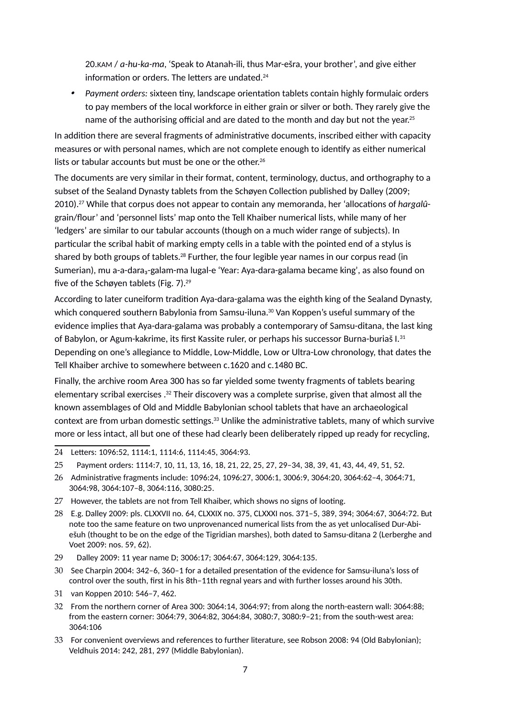20.KAM / *a-hu-ka-ma*, 'Speak to Atanah-ili, thus Mar-ešra, your brother', and give either information or orders. The letters are undated.<sup>[24](#page-6-0)</sup>

. *Payment orders:* sixteen tiny, landscape orientation tablets contain highly formulaic orders to pay members of the local workforce in either grain or silver or both. They rarely give the name of the authorising official and are dated to the month and day but not the year.<sup>[25](#page-6-1)</sup>

In addition there are several fragments of administrative documents, inscribed either with capacity measures or with personal names, which are not complete enough to identify as either numerical lists or tabular accounts but must be one or the other.<sup>[26](#page-6-2)</sup>

The documents are very similar in their format, content, terminology, ductus, and orthography to a subset of the Sealand Dynasty tablets from the Schøyen Collection published by Dalley (2009; 2010).[27](#page-6-3) While that corpus does not appear to contain any memoranda, her 'allocations of *hargalû*grain/flour' and 'personnel lists' map onto the Tell Khaiber numerical lists, while many of her 'ledgers' are similar to our tabular accounts (though on a much wider range of subjects). In particular the scribal habit of marking empty cells in a table with the pointed end of a stylus is shared by both groups of tablets.<sup>[28](#page-6-4)</sup> Further, the four legible year names in our corpus read (in Sumerian), mu a-a-dara₃-galam-ma lugal-e 'Year: Aya-dara-galama became king', as also found on five of the Schøyen tablets (Fig. 7).[29](#page-6-5)

According to later cuneiform tradition Aya-dara-galama was the eighth king of the Sealand Dynasty, which conquered southern Babylonia from Samsu-iluna.<sup>[30](#page-6-6)</sup> Van Koppen's useful summary of the evidence implies that Aya-dara-galama was probably a contemporary of Samsu-ditana, the last king of Babylon, or Agum-kakrime, its first Kassite ruler, or perhaps his successor Burna-buriaš I.[31](#page-6-7) Depending on one's allegiance to Middle, Low-Middle, Low or Ultra-Low chronology, that dates the Tell Khaiber archive to somewhere between c.1620 and c.1480 BC.

Finally, the archive room Area 300 has so far yielded some twenty fragments of tablets bearing elementary scribal exercises .[32](#page-6-8) Their discovery was a complete surprise, given that almost all the known assemblages of Old and Middle Babylonian school tablets that have an archaeological context are from urban domestic settings.<sup>[33](#page-6-9)</sup> Unlike the administrative tablets, many of which survive more or less intact, all but one of these had clearly been deliberately ripped up ready for recycling,

- <span id="page-6-5"></span>29 - Dalley 2009: 11 year name D; 3006:17; 3064:67, 3064:129, 3064:135.
- <span id="page-6-6"></span>30 - See Charpin 2004: 342–6, 360–1 for a detailed presentation of the evidence for Samsu-iluna's loss of control over the south, first in his 8th–11th regnal years and with further losses around his 30th.
- <span id="page-6-7"></span>31 <sup>E</sup>van Koppen 2010: 546–7, 462.
- <span id="page-6-8"></span>32 - From the northern corner of Area 300: 3064:14, 3064:97; from along the north-eastern wall: 3064:88; from the eastern corner: 3064:79, 3064:82, 3064:84, 3080:7, 3080:9–21; from the south-west area: 3064:106
- <span id="page-6-9"></span>33 - For convenient overviews and references to further literature, see Robson 2008: 94 (Old Babylonian); Veldhuis 2014: 242, 281, 297 (Middle Babylonian).

<span id="page-6-0"></span><sup>24</sup> - Letters: 1096:52, 1114:1, 1114:6, 1114:45, 3064:93.

<span id="page-6-1"></span><sup>25</sup>  $□$  Payment orders: 1114:7, 10, 11, 13, 16, 18, 21, 22, 25, 27, 29−34, 38, 39, 41, 43, 44, 49, 51, 52.

<span id="page-6-2"></span><sup>26</sup> - Administrative fragments include: 1096:24, 1096:27, 3006:1, 3006:9, 3064:20, 3064:62–4, 3064:71, 3064:98, 3064:107–8, 3064:116, 3080:25.

<span id="page-6-3"></span><sup>27</sup>  $\,$  However, the tablets are not from Tell Khaiber, which shows no signs of looting.

<span id="page-6-4"></span><sup>28</sup> - E.g. Dalley 2009: pls. CLXXVII no. 64, CLXXIX no. 375, CLXXXI nos. 371–5, 389, 394; 3064:67, 3064:72. But note too the same feature on two unprovenanced numerical lists from the as yet unlocalised Dur-Abiešuh (thought to be on the edge of the Tigridian marshes), both dated to Samsu-ditana 2 (Lerberghe and Voet 2009: nos. 59, 62).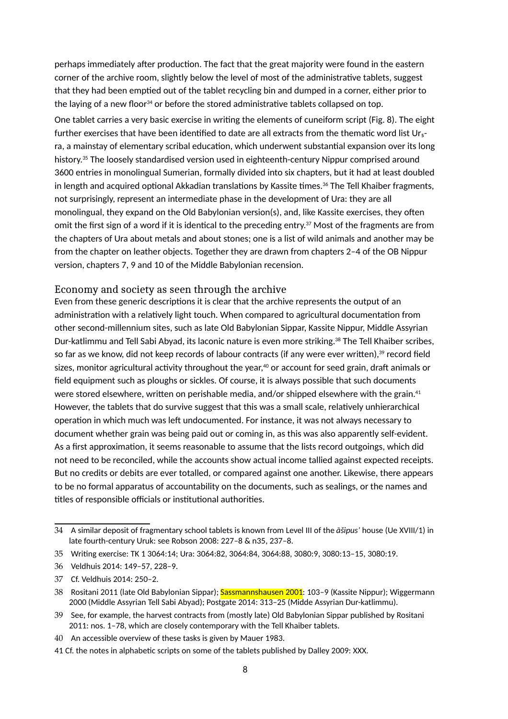perhaps immediately after production. The fact that the great majority were found in the eastern corner of the archive room, slightly below the level of most of the administrative tablets, suggest that they had been emptied out of the tablet recycling bin and dumped in a corner, either prior to the laying of a new floor $34$  or before the stored administrative tablets collapsed on top.

One tablet carries a very basic exercise in writing the elements of cuneiform script (Fig. 8). The eight further exercises that have been identified to date are all extracts from the thematic word list Ur $_5$ ra, a mainstay of elementary scribal education, which underwent substantial expansion over its long history.<sup>[35](#page-7-1)</sup> The loosely standardised version used in eighteenth-century Nippur comprised around 3600 entries in monolingual Sumerian, formally divided into six chapters, but it had at least doubled in length and acquired optional Akkadian translations by Kassite times.<sup>[36](#page-7-2)</sup> The Tell Khaiber fragments, not surprisingly, represent an intermediate phase in the development of Ura: they are all monolingual, they expand on the Old Babylonian version(s), and, like Kassite exercises, they often omit the first sign of a word if it is identical to the preceding entry.<sup>[37](#page-7-3)</sup> Most of the fragments are from the chapters of Ura about metals and about stones; one is a list of wild animals and another may be from the chapter on leather objects. Together they are drawn from chapters 2–4 of the OB Nippur version, chapters 7, 9 and 10 of the Middle Babylonian recension.

### Economy and society as seen through the archive

Even from these generic descriptions it is clear that the archive represents the output of an administration with a relatively light touch. When compared to agricultural documentation from other second-millennium sites, such as late Old Babylonian Sippar, Kassite Nippur, Middle Assyrian Dur-katlimmu and Tell Sabi Abyad, its laconic nature is even more striking.<sup>[38](#page-7-4)</sup> The Tell Khaiber scribes, so far as we know, did not keep records of labour contracts (if any were ever written),<sup>[39](#page-7-5)</sup> record field sizes, monitor agricultural activity throughout the year, $40$  or account for seed grain, draft animals or field equipment such as ploughs or sickles. Of course, it is always possible that such documents were stored elsewhere, written on perishable media, and/or shipped elsewhere with the grain.<sup>[41](#page-7-7)</sup> However, the tablets that do survive suggest that this was a small scale, relatively unhierarchical operation in which much was left undocumented. For instance, it was not always necessary to document whether grain was being paid out or coming in, as this was also apparently self-evident. As a first approximation, it seems reasonable to assume that the lists record outgoings, which did not need to be reconciled, while the accounts show actual income tallied against expected receipts. But no credits or debits are ever totalled, or compared against one another. Likewise, there appears to be no formal apparatus of accountability on the documents, such as sealings, or the names and titles of responsible officials or institutional authorities.

<span id="page-7-0"></span><sup>34</sup> - A similar deposit of fragmentary school tablets is known from Level III of the *āšipus'* house (Ue XVIII/1) in late fourth-century Uruk: see Robson 2008: 227–8 & n35, 237–8.

<span id="page-7-1"></span><sup>35</sup> - Writing exercise: TK 1 3064:14; Ura: 3064:82, 3064:84, 3064:88, 3080:9, 3080:13–15, 3080:19.

<span id="page-7-2"></span><sup>36</sup> - Veldhuis 2014: 149–57, 228–9.

<span id="page-7-3"></span><sup>37</sup> - Cf. Veldhuis 2014: 250–2.

<span id="page-7-4"></span><sup>38 &</sup>lt;sup>m</sup>ositani 2011 (late Old Babylonian Sippar); <mark>Sassmannshausen 2001</mark>: 103–9 (Kassite Nippur); Wiggermann 2000 (Middle Assyrian Tell Sabi Abyad); Postgate 2014: 313–25 (Midde Assyrian Dur-katlimmu).

<span id="page-7-5"></span> $39$   $^{\circ}$ See, for example, the harvest contracts from (mostly late) Old Babylonian Sippar published by Rositani 2011: nos. 1–78, which are closely contemporary with the Tell Khaiber tablets.

<span id="page-7-6"></span> $40^{-\mathbb{B}}$ An accessible overview of these tasks is given by Mauer 1983.

<span id="page-7-7"></span><sup>41『</sup>Cf. the notes in alphabetic scripts on some of the tablets published by Dalley 2009: XXX.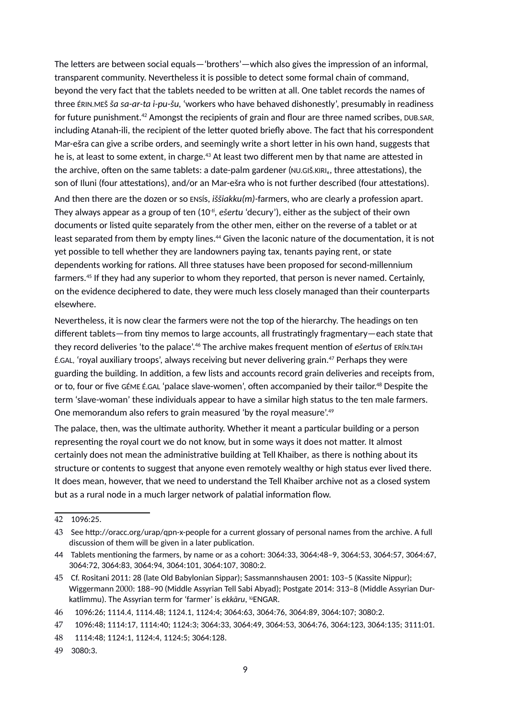The letters are between social equals—'brothers'—which also gives the impression of an informal, transparent community. Nevertheless it is possible to detect some formal chain of command, beyond the very fact that the tablets needed to be written at all. One tablet records the names of three ÉRIN.MEŠ *ša sa-ar-ta i-pu-šu*, 'workers who have behaved dishonestly', presumably in readiness for future punishment.[42](#page-8-0) Amongst the recipients of grain and flour are three named scribes, DUB.SAR, including Atanah-ili, the recipient of the letter quoted briefly above. The fact that his correspondent Mar-ešra can give a scribe orders, and seemingly write a short letter in his own hand, suggests that he is, at least to some extent, in charge.<sup>[43](#page-8-1)</sup> At least two different men by that name are attested in the archive, often on the same tablets: a date-palm gardener (NU.GIŠ.KIRI<sub>6</sub>, three attestations), the son of Iluni (four attestations), and/or an Mar-ešra who is not further described (four attestations). And then there are the dozen or so ENSÍs, *iššiakku(m)-*farmers, who are clearly a profession apart. They always appear as a group of ten (10*-t, ešertu* 'decury'), either as the subject of their own documents or listed quite separately from the other men, either on the reverse of a tablet or at least separated from them by empty lines.<sup>[44](#page-8-2)</sup> Given the laconic nature of the documentation, it is not yet possible to tell whether they are landowners paying tax, tenants paying rent, or state dependents working for rations. All three statuses have been proposed for second-millennium farmers.[45](#page-8-3) If they had any superior to whom they reported, that person is never named. Certainly,

on the evidence deciphered to date, they were much less closely managed than their counterparts elsewhere.

Nevertheless, it is now clear the farmers were not the top of the hierarchy. The headings on ten different tablets—from tiny memos to large accounts, all frustratingly fragmentary—each state that they record deliveries 'to the palace'.[46](#page-8-4) The archive makes frequent mention of *ešertus* of ERÍN.TAH É.GAL, 'royal auxiliary troops', always receiving but never delivering grain.[47](#page-8-5) Perhaps they were guarding the building. In addition, a few lists and accounts record grain deliveries and receipts from, or to, four or five GÉME É.GAL 'palace slave-women', often accompanied by their tailor.<sup>[48](#page-8-6)</sup> Despite the term 'slave-woman' these individuals appear to have a similar high status to the ten male farmers. One memorandum also refers to grain measured 'by the royal measure'.[49](#page-8-7)

The palace, then, was the ultimate authority. Whether it meant a particular building or a person representing the royal court we do not know, but in some ways it does not matter. It almost certainly does not mean the administrative building at Tell Khaiber*,* as there is nothing about its structure or contents to suggest that anyone even remotely wealthy or high status ever lived there. It does mean, however, that we need to understand the Tell Khaiber archive not as a closed system but as a rural node in a much larger network of palatial information flow.

<span id="page-8-0"></span><sup>42</sup> - 1096:25.

<span id="page-8-1"></span><sup>43</sup> - See http://oracc.org/urap/qpn-x-people for a current glossary of personal names from the archive. A full discussion of them will be given in a later publication.

<span id="page-8-2"></span><sup>44</sup> - Tablets mentioning the farmers, by name or as a cohort: 3064:33, 3064:48–9, 3064:53, 3064:57, 3064:67, 3064:72, 3064:83, 3064:94, 3064:101, 3064:107, 3080:2.

<span id="page-8-3"></span><sup>45</sup> - Cf. Rositani 2011: 28 (late Old Babylonian Sippar); Sassmannshausen 2001: 103–5 (Kassite Nippur); Wiggermann 2000: 188–90 (Middle Assyrian Tell Sabi Abyad); Postgate 2014: 313–8 (Middle Assyrian Durkatlimmu). The Assyrian term for 'farmer' is *ekkāru*, lúENGAR.

<span id="page-8-4"></span><sup>46</sup> -1096:26; 1114.4, 1114.48; 1124.1, 1124:4; 3064:63, 3064:76, 3064:89, 3064:107; 3080:2.

<span id="page-8-5"></span><sup>47</sup> -1096:48; 1114:17, 1114:40; 1124:3; 3064:33, 3064:49, 3064:53, 3064:76, 3064:123, 3064:135; 3111:01.

<span id="page-8-6"></span><sup>48</sup> -1114:48; 1124:1, 1124:4, 1124:5; 3064:128.

<span id="page-8-7"></span><sup>49</sup> - 3080:3.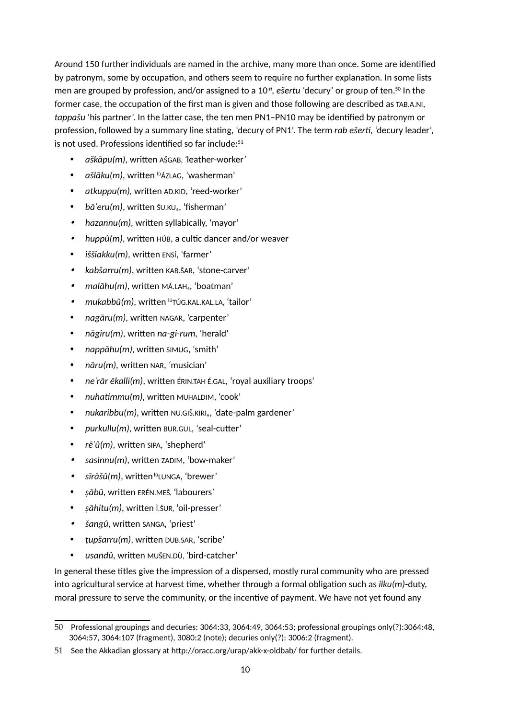Around 150 further individuals are named in the archive, many more than once. Some are identified by patronym, some by occupation, and others seem to require no further explanation. In some lists men are grouped by profession, and/or assigned to a 10*-t, ešertu* 'decury' or group of ten.[50](#page-9-0) In the former case, the occupation of the first man is given and those following are described as TAB.A.NI, *tappašu* 'his partner'. In the latter case, the ten men PN1–PN10 may be identified by patronym or profession, followed by a summary line stating, 'decury of PN1'. The term *rab ešert,* 'decury leader', is not used. Professions identified so far include:<sup>[51](#page-9-1)</sup>

- *aškāpu(m),* written AŠGAB, *'*leather-worker*'*
- *ašlāku(m),* written lúÁZLAG, 'washerman'
- *atkuppu(m),* written AD.KID, 'reed-worker'
- bā'eru(m), written š∪.KU., 'fisherman'
- . *hazannu(m),* written syllabically, 'mayor'
- . *huppû(m)*, written HÚB, a cultic dancer and/or weaver
- *iššiakku(m)*, written ENSÍ, 'farmer'
- . *kabšarru(m)*, written KAB.ŠAR, 'stone-carver'
- . *malāhu(m)*, written MÁ.LAH₄, 'boatman'
- . *mukabbû(m)*, written <sup>lú</sup>TÚG.KAL.KAL.LA, 'tailor'
- *nagāru(m),* written NAGAR, 'carpenter'
- *nāgiru(m)*, written *na-gi-rum,* 'herald'
- *nappāhu(m),* written SIMUG, 'smith'
- *nāru(m),* written NAR, *'*musician'
- *neʾrār ēkalli(m)*, written ÉRIN.TAH É.GAL, 'royal auxiliary troops'
- *nuhatmmu(m),* written MUHALDIM, 'cook'
- *nukaribbu(m),* written NU.GIŠ.KIRI₆, 'date-palm gardener'
- *purkullu(m)*, written BUR.GUL, 'seal-cutter'
- *rēʾû(m),* written SIPA, 'shepherd'
- . *sasinnu(m)*, written ZADIM, 'bow-maker'
- . sīrāšû(m), written <sup>lú</sup>LUNGA, 'brewer'
- *ṣābū,* written ERÉN.MEŠ*,* 'labourers'
- *ṣāhitu(m),* written Ì.ŠUR*,* 'oil-presser'
- . *šangû*, written SANGA, 'priest'
- *ṭupšarru(m)*, written DUB.SAR, 'scribe'
- *usandû,* written MUŠEN.DÙ, 'bird-catcher'

In general these titles give the impression of a dispersed, mostly rural community who are pressed into agricultural service at harvest time, whether through a formal obligation such as *ilku(m)*-duty, moral pressure to serve the community, or the incentive of payment. We have not yet found any

<span id="page-9-0"></span><sup>50</sup> - Professional groupings and decuries: 3064:33, 3064:49, 3064:53; professional groupings only(?):3064:48, 3064:57, 3064:107 (fragment), 3080:2 (note); decuries only(?): 3006:2 (fragment).

<span id="page-9-1"></span><sup>51</sup> - See the Akkadian glossary at http://oracc.org/urap/akk-x-oldbab/ for further details.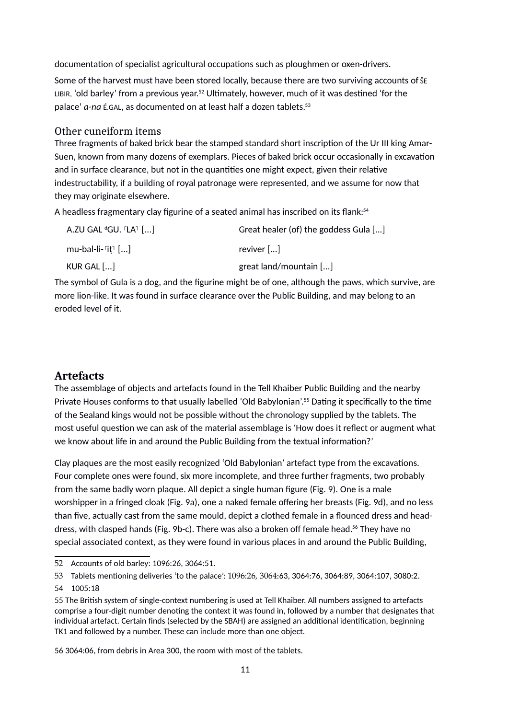documentation of specialist agricultural occupations such as ploughmen or oxen-drivers.

Some of the harvest must have been stored locally, because there are two surviving accounts of ŠE LIBIR, 'old barley' from a previous year.[52](#page-10-0) Ultimately, however, much of it was destined 'for the palace' a-na *É.GAL*, as documented on at least half a dozen tablets.<sup>[53](#page-10-1)</sup>

## Other cuneiform items

Three fragments of baked brick bear the stamped standard short inscription of the Ur III king Amar-Suen, known from many dozens of exemplars. Pieces of baked brick occur occasionally in excavation and in surface clearance, but not in the quantities one might expect, given their relative indestructability, if a building of royal patronage were represented, and we assume for now that they may originate elsewhere.

A headless fragmentary clay figurine of a seated animal has inscribed on its flank:<sup>[54](#page-10-2)</sup>

| A.ZU GAL ${}^d$ GU. ${}^r$ LA ${}^r$ $[]$        | Great healer (of) the goddess Gula [] |
|--------------------------------------------------|---------------------------------------|
| mu-bal-li- $\lceil$ it $\lceil$ $\lceil  \rceil$ | reviver $[]$                          |
| KUR GAL []                                       | great land/mountain $[]$              |

The symbol of Gula is a dog, and the figurine might be of one, although the paws, which survive, are more lion-like. It was found in surface clearance over the Public Building, and may belong to an eroded level of it.

## **Artefacts**

The assemblage of objects and artefacts found in the Tell Khaiber Public Building and the nearby Private Houses conforms to that usually labelled 'Old Babylonian'.[55](#page-10-3) Dating it specifically to the time of the Sealand kings would not be possible without the chronology supplied by the tablets. The most useful question we can ask of the material assemblage is 'How does it reflect or augment what we know about life in and around the Public Building from the textual information?'

Clay plaques are the most easily recognized 'Old Babylonian' artefact type from the excavations. Four complete ones were found, six more incomplete, and three further fragments, two probably from the same badly worn plaque. All depict a single human figure (Fig. 9). One is a male worshipper in a fringed cloak (Fig. 9a), one a naked female offering her breasts (Fig. 9d), and no less than five, actually cast from the same mould, depict a clothed female in a flounced dress and head-dress, with clasped hands (Fig. 9b-c). There was also a broken off female head.<sup>[56](#page-10-4)</sup> They have no special associated context, as they were found in various places in and around the Public Building,

<span id="page-10-4"></span>56- 3064:06, from debris in Area 300, the room with most of the tablets.

<span id="page-10-0"></span><sup>52</sup> - Accounts of old barley: 1096:26, 3064:51.

<span id="page-10-1"></span><sup>53</sup> - Tablets mentioning deliveries 'to the palace': 1096:26, 3064:63, 3064:76, 3064:89, 3064:107, 3080:2. 54 - 1005:18

<span id="page-10-3"></span><span id="page-10-2"></span><sup>55</sup>- The British system of single-context numbering is used at Tell Khaiber. All numbers assigned to artefacts comprise a four-digit number denoting the context it was found in, followed by a number that designates that individual artefact. Certain finds (selected by the SBAH) are assigned an additional identification, beginning TK1 and followed by a number. These can include more than one object.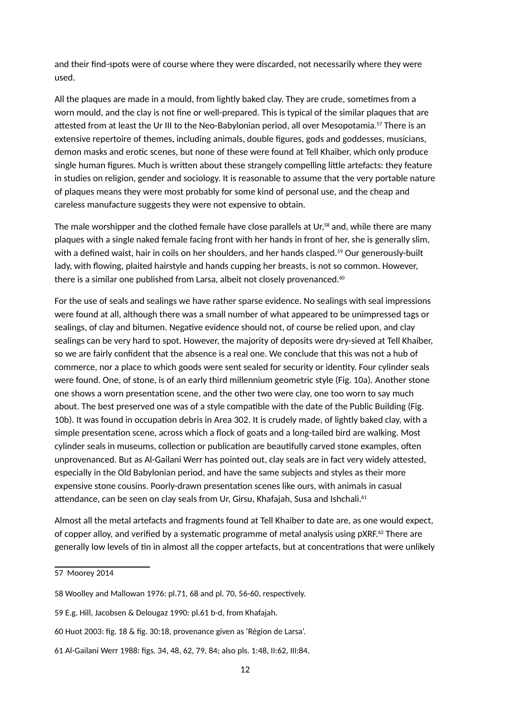and their find-spots were of course where they were discarded, not necessarily where they were used.

All the plaques are made in a mould, from lightly baked clay. They are crude, sometimes from a worn mould, and the clay is not fine or well-prepared. This is typical of the similar plaques that are attested from at least the Ur III to the Neo-Babylonian period, all over Mesopotamia.<sup>[57](#page-11-0)</sup> There is an extensive repertoire of themes, including animals, double figures, gods and goddesses, musicians, demon masks and erotic scenes, but none of these were found at Tell Khaiber, which only produce single human figures. Much is written about these strangely compelling little artefacts: they feature in studies on religion, gender and sociology. It is reasonable to assume that the very portable nature of plaques means they were most probably for some kind of personal use, and the cheap and careless manufacture suggests they were not expensive to obtain.

The male worshipper and the clothed female have close parallels at Ur,<sup>[58](#page-11-1)</sup> and, while there are many plaques with a single naked female facing front with her hands in front of her, she is generally slim, with a defined waist, hair in coils on her shoulders, and her hands clasped.<sup>[59](#page-11-2)</sup> Our generously-built lady, with flowing, plaited hairstyle and hands cupping her breasts, is not so common. However, there is a similar one published from Larsa, albeit not closely provenanced. $60$ 

For the use of seals and sealings we have rather sparse evidence. No sealings with seal impressions were found at all, although there was a small number of what appeared to be unimpressed tags or sealings, of clay and bitumen. Negative evidence should not, of course be relied upon, and clay sealings can be very hard to spot. However, the majority of deposits were dry-sieved at Tell Khaiber, so we are fairly confident that the absence is a real one. We conclude that this was not a hub of commerce, nor a place to which goods were sent sealed for security or identity. Four cylinder seals were found. One, of stone, is of an early third millennium geometric style (Fig. 10a). Another stone one shows a worn presentation scene, and the other two were clay, one too worn to say much about. The best preserved one was of a style compatible with the date of the Public Building (Fig. 10b). It was found in occupation debris in Area 302. It is crudely made, of lightly baked clay, with a simple presentation scene, across which a flock of goats and a long-tailed bird are walking. Most cylinder seals in museums, collection or publication are beautifully carved stone examples, often unprovenanced. But as Al-Gailani Werr has pointed out, clay seals are in fact very widely attested, especially in the Old Babylonian period, and have the same subjects and styles as their more expensive stone cousins. Poorly-drawn presentation scenes like ours, with animals in casual attendance, can be seen on clay seals from Ur, Girsu, Khafajah, Susa and Ishchali.<sup>[61](#page-11-4)</sup>

Almost all the metal artefacts and fragments found at Tell Khaiber to date are, as one would expect, of copper alloy, and verified by a systematic programme of metal analysis using pXRF.<sup>62</sup> There are generally low levels of tin in almost all the copper artefacts, but at concentrations that were unlikely

<span id="page-11-0"></span><sup>57</sup>ª Moorey 2014

<span id="page-11-1"></span><sup>58</sup>- Woolley and Mallowan 1976: pl.71, 68 and pl. 70, 56-60, respectively.

<span id="page-11-2"></span><sup>59</sup>- E.g. Hill, Jacobsen & Delougaz 1990: pl.61 b-d, from Khafajah.

<span id="page-11-3"></span><sup>60</sup>- Huot 2003: fig. 18 & fig. 30:18, provenance given as 'Région de Larsa'.

<span id="page-11-4"></span><sup>61</sup>- Al-Gailani Werr 1988: figs. 34, 48, 62, 79, 84; also pls. 1:48, II:62, III:84.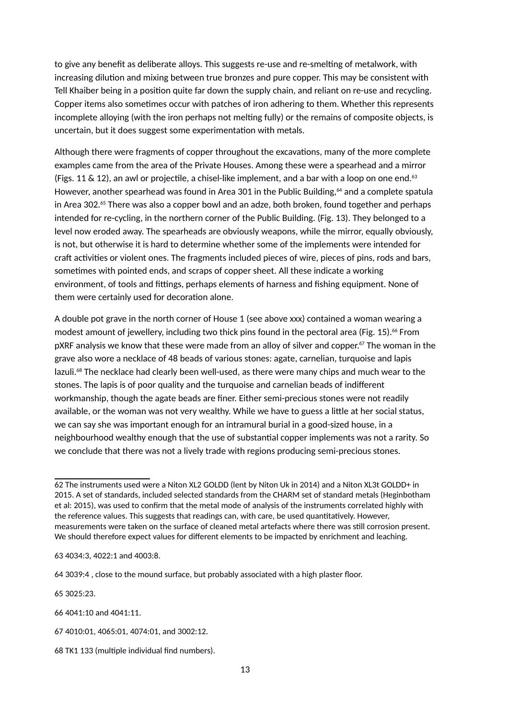to give any benefit as deliberate alloys. This suggests re-use and re-smelting of metalwork, with increasing dilution and mixing between true bronzes and pure copper. This may be consistent with Tell Khaiber being in a position quite far down the supply chain, and reliant on re-use and recycling. Copper items also sometimes occur with patches of iron adhering to them. Whether this represents incomplete alloying (with the iron perhaps not melting fully) or the remains of composite objects, is uncertain, but it does suggest some experimentation with metals.

Although there were fragments of copper throughout the excavations, many of the more complete examples came from the area of the Private Houses. Among these were a spearhead and a mirror (Figs. 11 & 12), an awl or projectile, a chisel-like implement, and a bar with a loop on one end.<sup>[63](#page-12-0)</sup> However, another spearhead was found in Area 301 in the Public Building, <sup>[64](#page-12-1)</sup> and a complete spatula in Area 302.<sup>[65](#page-12-2)</sup> There was also a copper bowl and an adze, both broken, found together and perhaps intended for re-cycling, in the northern corner of the Public Building. (Fig. 13). They belonged to a level now eroded away. The spearheads are obviously weapons, while the mirror, equally obviously, is not, but otherwise it is hard to determine whether some of the implements were intended for craft activities or violent ones. The fragments included pieces of wire, pieces of pins, rods and bars, sometimes with pointed ends, and scraps of copper sheet. All these indicate a working environment, of tools and fittings, perhaps elements of harness and fishing equipment. None of them were certainly used for decoration alone.

A double pot grave in the north corner of House 1 (see above xxx) contained a woman wearing a modest amount of jewellery, including two thick pins found in the pectoral area (Fig. 15).<sup>[66](#page-12-3)</sup> From pXRF analysis we know that these were made from an alloy of silver and copper.<sup>[67](#page-12-4)</sup> The woman in the grave also wore a necklace of 48 beads of various stones: agate, carnelian, turquoise and lapis lazuli.<sup>[68](#page-12-5)</sup> The necklace had clearly been well-used, as there were many chips and much wear to the stones. The lapis is of poor quality and the turquoise and carnelian beads of indifferent workmanship, though the agate beads are finer. Either semi-precious stones were not readily available, or the woman was not very wealthy. While we have to guess a little at her social status, we can say she was important enough for an intramural burial in a good-sized house, in a neighbourhood wealthy enough that the use of substantial copper implements was not a rarity. So we conclude that there was not a lively trade with regions producing semi-precious stones.

<span id="page-12-2"></span>65<sup>2</sup>3025:23.

<span id="page-12-3"></span>66- 4041:10 and 4041:11.

<sup>62</sup>- The instruments used were a Niton XL2 GOLDD (lent by Niton Uk in 2014) and a Niton XL3t GOLDD+ in 2015. A set of standards, included selected standards from the CHARM set of standard metals (Heginbotham et al: 2015), was used to confirm that the metal mode of analysis of the instruments correlated highly with the reference values. This suggests that readings can, with care, be used quantitatively. However, measurements were taken on the surface of cleaned metal artefacts where there was still corrosion present. We should therefore expect values for different elements to be impacted by enrichment and leaching.

<span id="page-12-0"></span><sup>63</sup>- 4034:3, 4022:1 and 4003:8.

<span id="page-12-1"></span><sup>64</sup>- 3039:4 , close to the mound surface, but probably associated with a high plaster floor.

<span id="page-12-4"></span><sup>67</sup>- 4010:01, 4065:01, 4074:01, and 3002:12.

<span id="page-12-5"></span><sup>68</sup>- TK1 133 (multiple individual find numbers).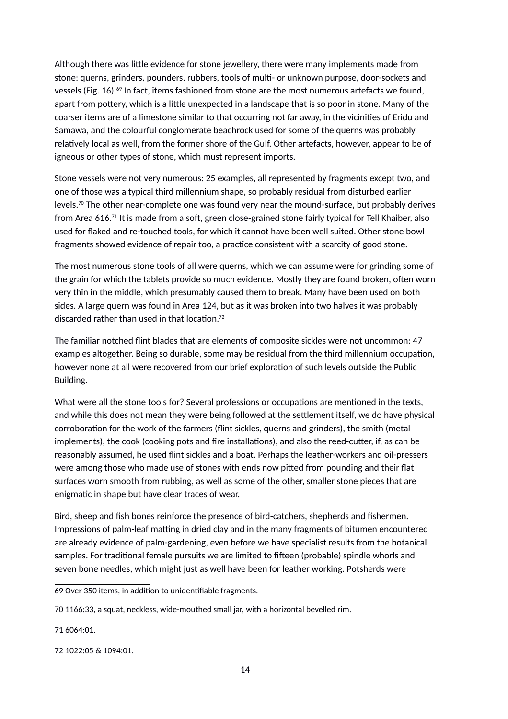Although there was little evidence for stone jewellery, there were many implements made from stone: querns, grinders, pounders, rubbers, tools of multi- or unknown purpose, door-sockets and vessels (Fig. 16).<sup>[69](#page-13-0)</sup> In fact, items fashioned from stone are the most numerous artefacts we found, apart from pottery, which is a little unexpected in a landscape that is so poor in stone. Many of the coarser items are of a limestone similar to that occurring not far away, in the vicinities of Eridu and Samawa, and the colourful conglomerate beachrock used for some of the querns was probably relatively local as well, from the former shore of the Gulf. Other artefacts, however, appear to be of igneous or other types of stone, which must represent imports.

Stone vessels were not very numerous: 25 examples, all represented by fragments except two, and one of those was a typical third millennium shape, so probably residual from disturbed earlier levels.<sup>[70](#page-13-1)</sup> The other near-complete one was found very near the mound-surface, but probably derives from Area 616.[71](#page-13-2) It is made from a soft, green close-grained stone fairly typical for Tell Khaiber, also used for flaked and re-touched tools, for which it cannot have been well suited. Other stone bowl fragments showed evidence of repair too, a practice consistent with a scarcity of good stone.

The most numerous stone tools of all were querns, which we can assume were for grinding some of the grain for which the tablets provide so much evidence. Mostly they are found broken, often worn very thin in the middle, which presumably caused them to break. Many have been used on both sides. A large quern was found in Area 124, but as it was broken into two halves it was probably discarded rather than used in that location.[72](#page-13-3)

The familiar notched flint blades that are elements of composite sickles were not uncommon: 47 examples altogether. Being so durable, some may be residual from the third millennium occupation, however none at all were recovered from our brief exploration of such levels outside the Public Building.

What were all the stone tools for? Several professions or occupations are mentioned in the texts, and while this does not mean they were being followed at the settlement itself, we do have physical corroboration for the work of the farmers (flint sickles, querns and grinders), the smith (metal implements), the cook (cooking pots and fire installations), and also the reed-cutter, if, as can be reasonably assumed, he used flint sickles and a boat. Perhaps the leather-workers and oil-pressers were among those who made use of stones with ends now pitted from pounding and their flat surfaces worn smooth from rubbing, as well as some of the other, smaller stone pieces that are enigmatic in shape but have clear traces of wear.

Bird, sheep and fish bones reinforce the presence of bird-catchers, shepherds and fishermen. Impressions of palm-leaf matting in dried clay and in the many fragments of bitumen encountered are already evidence of palm-gardening, even before we have specialist results from the botanical samples. For traditional female pursuits we are limited to fifteen (probable) spindle whorls and seven bone needles, which might just as well have been for leather working. Potsherds were

<span id="page-13-2"></span>71<sup>8</sup>6064:01.

<span id="page-13-0"></span><sup>69&</sup>lt;sup>®</sup>Over 350 items, in addition to unidentifiable fragments.

<span id="page-13-1"></span><sup>70</sup>ª1166:33, a squat, neckless, wide-mouthed small jar, with a horizontal bevelled rim.

<span id="page-13-3"></span><sup>72</sup>- 1022:05 & 1094:01.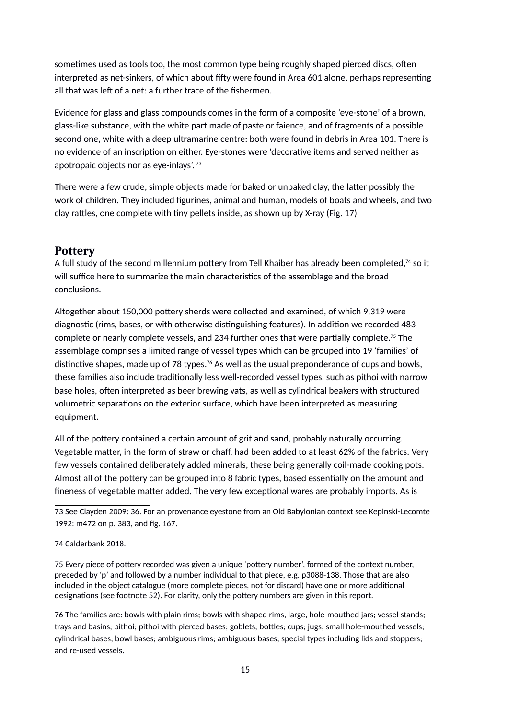sometimes used as tools too, the most common type being roughly shaped pierced discs, often interpreted as net-sinkers, of which about fifty were found in Area 601 alone, perhaps representing all that was left of a net: a further trace of the fishermen.

Evidence for glass and glass compounds comes in the form of a composite 'eye-stone' of a brown, glass-like substance, with the white part made of paste or faience, and of fragments of a possible second one, white with a deep ultramarine centre: both were found in debris in Area 101. There is no evidence of an inscription on either. Eye-stones were 'decorative items and served neither as apotropaic objects nor as eye-inlays'. [73](#page-14-0)

There were a few crude, simple objects made for baked or unbaked clay, the latter possibly the work of children. They included figurines, animal and human, models of boats and wheels, and two clay rattles, one complete with tiny pellets inside, as shown up by X-ray (Fig. 17)

## **Pottery**

A full study of the second millennium pottery from Tell Khaiber has already been completed,<sup>[74](#page-14-1)</sup> so it will suffice here to summarize the main characteristics of the assemblage and the broad conclusions.

Altogether about 150,000 pottery sherds were collected and examined, of which 9,319 were diagnostic (rims, bases, or with otherwise distinguishing features). In addition we recorded 483 complete or nearly complete vessels, and 234 further ones that were partially complete.<sup>[75](#page-14-2)</sup> The assemblage comprises a limited range of vessel types which can be grouped into 19 'families' of distinctive shapes, made up of 78 types.<sup>[76](#page-14-3)</sup> As well as the usual preponderance of cups and bowls, these families also include traditionally less well-recorded vessel types, such as pithoi with narrow base holes, often interpreted as beer brewing vats, as well as cylindrical beakers with structured volumetric separations on the exterior surface, which have been interpreted as measuring equipment.

All of the pottery contained a certain amount of grit and sand, probably naturally occurring. Vegetable matter, in the form of straw or chaff, had been added to at least 62% of the fabrics. Very few vessels contained deliberately added minerals, these being generally coil-made cooking pots. Almost all of the pottery can be grouped into 8 fabric types, based essentially on the amount and fineness of vegetable matter added. The very few exceptional wares are probably imports. As is

<span id="page-14-2"></span>75- Every piece of pottery recorded was given a unique 'pottery number', formed of the context number, preceded by 'p' and followed by a number individual to that piece, e.g. p3088-138. Those that are also included in the object catalogue (more complete pieces, not for discard) have one or more additional designations (see footnote 52). For clarity, only the pottery numbers are given in this report.

<span id="page-14-3"></span>76- The families are: bowls with plain rims; bowls with shaped rims, large, hole-mouthed jars; vessel stands; trays and basins; pithoi; pithoi with pierced bases; goblets; bottles; cups; jugs; small hole-mouthed vessels; cylindrical bases; bowl bases; ambiguous rims; ambiguous bases; special types including lids and stoppers; and re-used vessels.

<span id="page-14-0"></span><sup>73</sup>- See Clayden 2009: 36. For an provenance eyestone from an Old Babylonian context see Kepinski-Lecomte 1992: m472 on p. 383, and fig. 167.

<span id="page-14-1"></span><sup>74</sup>ªCalderbank 2018.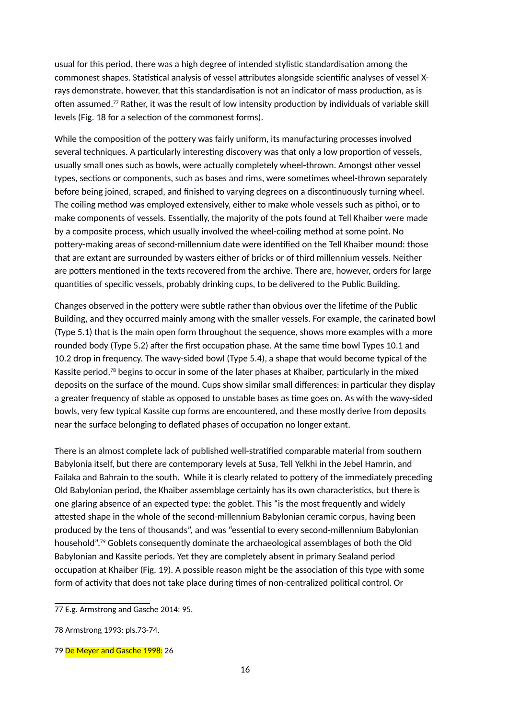usual for this period, there was a high degree of intended stylistic standardisation among the commonest shapes. Statistical analysis of vessel attributes alongside scientific analyses of vessel Xrays demonstrate, however, that this standardisation is not an indicator of mass production, as is often assumed.[77](#page-15-0) Rather, it was the result of low intensity production by individuals of variable skill levels (Fig. 18 for a selection of the commonest forms).

While the composition of the pottery was fairly uniform, its manufacturing processes involved several techniques. A particularly interesting discovery was that only a low proportion of vessels, usually small ones such as bowls, were actually completely wheel-thrown. Amongst other vessel types, sections or components, such as bases and rims, were sometimes wheel-thrown separately before being joined, scraped, and finished to varying degrees on a discontinuously turning wheel. The coiling method was employed extensively, either to make whole vessels such as pithoi, or to make components of vessels. Essentially, the majority of the pots found at Tell Khaiber were made by a composite process, which usually involved the wheel-coiling method at some point. No pottery-making areas of second-millennium date were identified on the Tell Khaiber mound: those that are extant are surrounded by wasters either of bricks or of third millennium vessels. Neither are potters mentioned in the texts recovered from the archive. There are, however, orders for large quantities of specific vessels, probably drinking cups, to be delivered to the Public Building.

Changes observed in the pottery were subtle rather than obvious over the lifetime of the Public Building, and they occurred mainly among with the smaller vessels. For example, the carinated bowl (Type 5.1) that is the main open form throughout the sequence, shows more examples with a more rounded body (Type 5.2) after the first occupation phase. At the same time bowl Types 10.1 and 10.2 drop in frequency. The wavy-sided bowl (Type 5.4), a shape that would become typical of the Kassite period,<sup>[78](#page-15-1)</sup> begins to occur in some of the later phases at Khaiber, particularly in the mixed deposits on the surface of the mound. Cups show similar small differences: in particular they display a greater frequency of stable as opposed to unstable bases as time goes on. As with the wavy-sided bowls, very few typical Kassite cup forms are encountered, and these mostly derive from deposits near the surface belonging to deflated phases of occupation no longer extant.

There is an almost complete lack of published well-stratified comparable material from southern Babylonia itself, but there are contemporary levels at Susa, Tell Yelkhi in the Jebel Hamrin, and Failaka and Bahrain to the south. While it is clearly related to pottery of the immediately preceding Old Babylonian period, the Khaiber assemblage certainly has its own characteristics, but there is one glaring absence of an expected type: the goblet. This "is the most frequently and widely attested shape in the whole of the second-millennium Babylonian ceramic corpus, having been produced by the tens of thousands", and was "essential to every second-millennium Babylonian household".[79](#page-15-2) Goblets consequently dominate the archaeological assemblages of both the Old Babylonian and Kassite periods. Yet they are completely absent in primary Sealand period occupation at Khaiber (Fig. 19). A possible reason might be the association of this type with some form of activity that does not take place during times of non-centralized political control. Or

<span id="page-15-0"></span><sup>77</sup>- E.g. Armstrong and Gasche 2014: 95.

<span id="page-15-1"></span><sup>78</sup>ªArmstrong 1993: pls.73-74.

<span id="page-15-2"></span><sup>79</sup>ª<mark>De Meyer and Gasche 1998:</mark> 26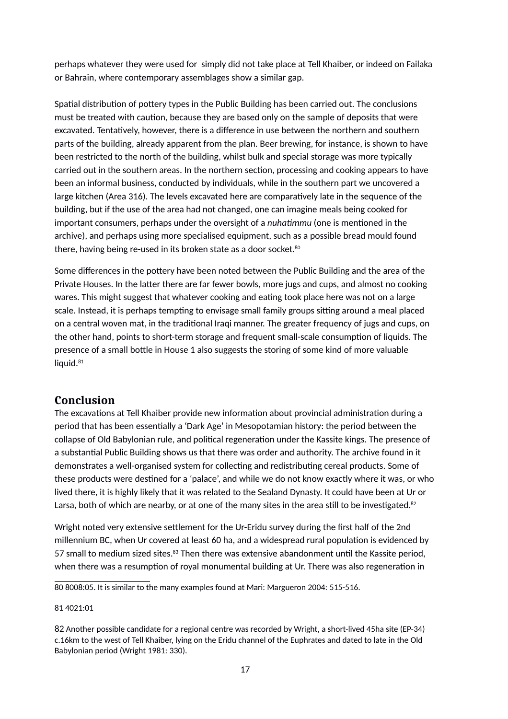perhaps whatever they were used for simply did not take place at Tell Khaiber, or indeed on Failaka or Bahrain, where contemporary assemblages show a similar gap.

Spatial distribution of pottery types in the Public Building has been carried out. The conclusions must be treated with caution, because they are based only on the sample of deposits that were excavated. Tentatively, however, there is a difference in use between the northern and southern parts of the building, already apparent from the plan. Beer brewing, for instance, is shown to have been restricted to the north of the building, whilst bulk and special storage was more typically carried out in the southern areas. In the northern section, processing and cooking appears to have been an informal business, conducted by individuals, while in the southern part we uncovered a large kitchen (Area 316). The levels excavated here are comparatively late in the sequence of the building, but if the use of the area had not changed, one can imagine meals being cooked for important consumers, perhaps under the oversight of a *nuhatmmu* (one is mentioned in the archive), and perhaps using more specialised equipment, such as a possible bread mould found there, having being re-used in its broken state as a door socket. $80$ 

Some differences in the pottery have been noted between the Public Building and the area of the Private Houses. In the latter there are far fewer bowls, more jugs and cups, and almost no cooking wares. This might suggest that whatever cooking and eating took place here was not on a large scale. Instead, it is perhaps tempting to envisage small family groups sitting around a meal placed on a central woven mat, in the traditional Iraqi manner. The greater frequency of jugs and cups, on the other hand, points to short-term storage and frequent small-scale consumption of liquids. The presence of a small bottle in House 1 also suggests the storing of some kind of more valuable liquid.<sup>[81](#page-16-1)</sup>

## **Conclusion**

The excavations at Tell Khaiber provide new information about provincial administration during a period that has been essentially a 'Dark Age' in Mesopotamian history: the period between the collapse of Old Babylonian rule, and political regeneration under the Kassite kings. The presence of a substantial Public Building shows us that there was order and authority. The archive found in it demonstrates a well-organised system for collecting and redistributing cereal products. Some of these products were destined for a 'palace', and while we do not know exactly where it was, or who lived there, it is highly likely that it was related to the Sealand Dynasty. It could have been at Ur or Larsa, both of which are nearby, or at one of the many sites in the area still to be investigated. $82$ 

Wright noted very extensive settlement for the Ur-Eridu survey during the first half of the 2nd millennium BC, when Ur covered at least 60 ha, and a widespread rural population is evidenced by 57 small to medium sized sites.<sup>83</sup> Then there was extensive abandonment until the Kassite period, when there was a resumption of royal monumental building at Ur. There was also regeneration in

<span id="page-16-0"></span>80- 8008:05. It is similar to the many examples found at Mari: Margueron 2004: 515-516.

#### <span id="page-16-1"></span>81<sup>2</sup>4021:01

<span id="page-16-2"></span><sup>82</sup>-Another possible candidate for a regional centre was recorded by Wright, a short-lived 45ha site (EP-34) c.16km to the west of Tell Khaiber, lying on the Eridu channel of the Euphrates and dated to late in the Old Babylonian period (Wright 1981: 330).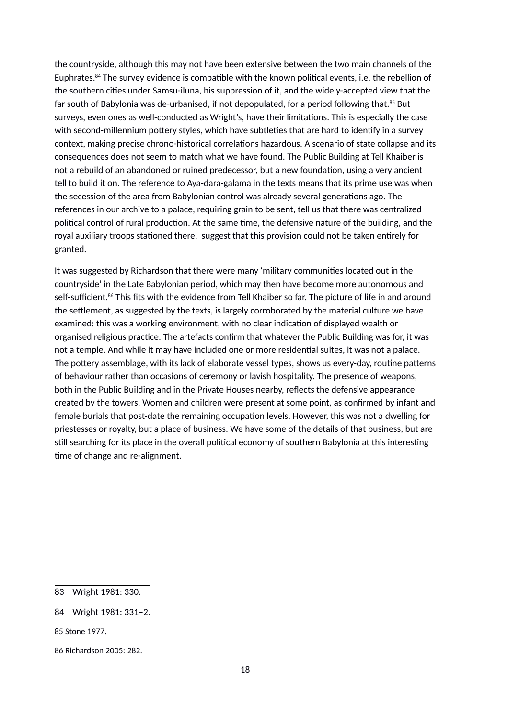the countryside, although this may not have been extensive between the two main channels of the Euphrates.[84](#page-17-0) The survey evidence is compatible with the known political events, i.e. the rebellion of the southern cities under Samsu-iluna, his suppression of it, and the widely-accepted view that the far south of Babylonia was de-urbanised, if not depopulated, for a period following that.<sup>[85](#page-17-1)</sup> But surveys, even ones as well-conducted as Wright's, have their limitations. This is especially the case with second-millennium pottery styles, which have subtleties that are hard to identify in a survey context, making precise chrono-historical correlations hazardous. A scenario of state collapse and its consequences does not seem to match what we have found. The Public Building at Tell Khaiber is not a rebuild of an abandoned or ruined predecessor, but a new foundation, using a very ancient tell to build it on. The reference to Aya-dara-galama in the texts means that its prime use was when the secession of the area from Babylonian control was already several generations ago. The references in our archive to a palace, requiring grain to be sent, tell us that there was centralized political control of rural production. At the same time, the defensive nature of the building, and the royal auxiliary troops stationed there, suggest that this provision could not be taken entirely for granted.

It was suggested by Richardson that there were many 'military communities located out in the countryside' in the Late Babylonian period, which may then have become more autonomous and self-sufficient.<sup>[86](#page-17-2)</sup> This fits with the evidence from Tell Khaiber so far. The picture of life in and around the settlement, as suggested by the texts, is largely corroborated by the material culture we have examined: this was a working environment, with no clear indication of displayed wealth or organised religious practice. The artefacts confirm that whatever the Public Building was for, it was not a temple. And while it may have included one or more residential suites, it was not a palace. The pottery assemblage, with its lack of elaborate vessel types, shows us every-day, routine patterns of behaviour rather than occasions of ceremony or lavish hospitality. The presence of weapons, both in the Public Building and in the Private Houses nearby, reflects the defensive appearance created by the towers. Women and children were present at some point, as confirmed by infant and female burials that post-date the remaining occupation levels. However, this was not a dwelling for priestesses or royalty, but a place of business. We have some of the details of that business, but are still searching for its place in the overall political economy of southern Babylonia at this interesting time of change and re-alignment.

<sup>832</sup> Wright 1981: 330.

<span id="page-17-0"></span><sup>842</sup> Wright 1981: 331-2.

<span id="page-17-1"></span><sup>85&</sup>lt;sup>2</sup>Stone 1977.

<span id="page-17-2"></span><sup>86</sup>ªRichardson 2005: 282.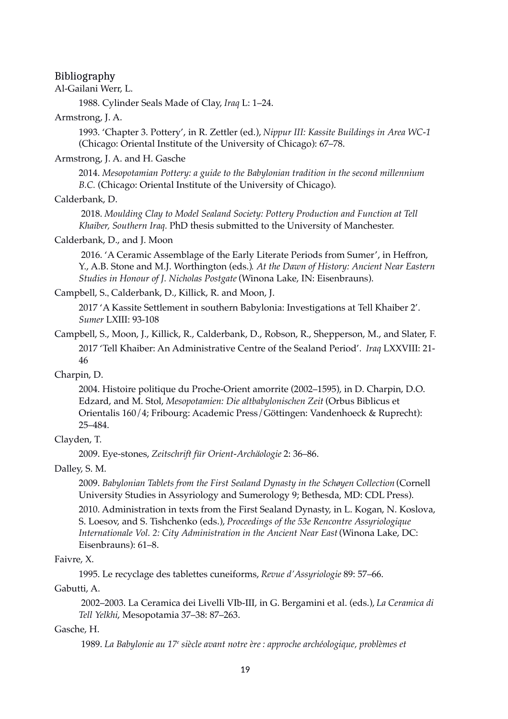#### Bibliography

Al-Gailani Werr, L.

1988. Cylinder Seals Made of Clay, *Iraq* L: 1–24.

#### Armstrong, J. A.

1993. 'Chapter 3. Pottery', in R. Zettler (ed.), *Nippur III: Kassite Buildings in Area WC-1*  (Chicago: Oriental Institute of the University of Chicago): 67–78.

#### Armstrong, J. A. and H. Gasche

2014. *Mesopotamian Pottery: a guide to the Babylonian tradition in the second millennium B.C.* (Chicago: Oriental Institute of the University of Chicago).

#### Calderbank, D.

 2018. *Moulding Clay to Model Sealand Society: Pottery Production and Function at Tell Khaiber, Southern Iraq.* PhD thesis submitted to the University of Manchester.

### Calderbank, D., and J. Moon

 2016. 'A Ceramic Assemblage of the Early Literate Periods from Sumer', in Heffron, Y., A.B. Stone and M.J. Worthington (eds.)*. At the Dawn of History: Ancient Near Eastern Studies in Honour of J. Nicholas Postgate* (Winona Lake, IN: Eisenbrauns).

#### Campbell, S., Calderbank, D., Killick, R. and Moon, J.

2017 'A Kassite Settlement in southern Babylonia: Investigations at Tell Khaiber 2'. *Sumer* LXIII: 93-108

Campbell, S., Moon, J., Killick, R., Calderbank, D., Robson, R., Shepperson, M., and Slater, F. 2017 'Tell Khaiber: An Administrative Centre of the Sealand Period'. *Iraq* LXXVIII: 21- 46

## Charpin, D.

2004. Histoire politique du Proche-Orient amorrite (2002–1595), in D. Charpin, D.O. Edzard, and M. Stol, *Mesopotamien: Die altbabylonischen Zeit* (Orbus Biblicus et Orientalis 160/4; Fribourg: Academic Press/Göttingen: Vandenhoeck & Ruprecht): 25–484.

### Clayden, T.

2009. Eye-stones, *Zeitschrift für Orient-Archäologie* 2: 36–86.

#### Dalley, S. M.

2009. *Babylonian Tablets from the First Sealand Dynasty in the Schøyen Collection* (Cornell University Studies in Assyriology and Sumerology 9; Bethesda, MD: CDL Press).

2010. Administration in texts from the First Sealand Dynasty, in L. Kogan, N. Koslova, S. Loesov, and S. Tishchenko (eds.), *Proceedings of the 53e Rencontre Assyriologique Internationale Vol. 2: City Administration in the Ancient Near East* (Winona Lake, DC: Eisenbrauns): 61–8.

### Faivre, X.

1995. Le recyclage des tablettes cuneiforms, *Revue d'Assyriologie* 89: 57–66.

#### Gabutti, A.

 2002–2003. La Ceramica dei Livelli VIb-III, in G. Bergamini et al. (eds.), *La Ceramica di Tell Yelkhi*, Mesopotamia 37–38: 87–263.

#### Gasche, H.

1989. *La Babylonie au 17<sup>e</sup> siècle avant notre ère : approche archéologique, problèmes et*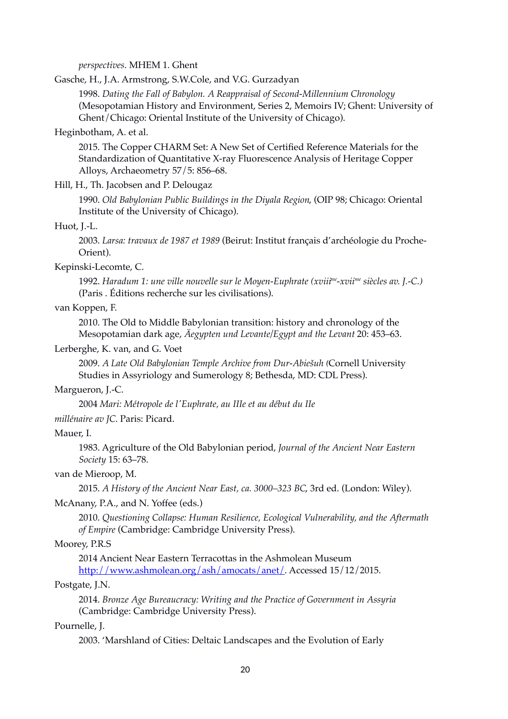*perspectives*. MHEM 1. Ghent

Gasche, H., J.A. Armstrong, S.W.Cole, and V.G. Gurzadyan

1998. *Dating the Fall of Babylon. A Reappraisal of Second-Millennium Chronology* (Mesopotamian History and Environment, Series 2, Memoirs IV; Ghent: University of Ghent/Chicago: Oriental Institute of the University of Chicago).

#### Heginbotham, A. et al.

2015. The Copper CHARM Set: A New Set of Certified Reference Materials for the Standardization of Quantitative X-ray Fluorescence Analysis of Heritage Copper Alloys, Archaeometry 57/5: 856–68.

## Hill, H., Th. Jacobsen and P. Delougaz

1990. *Old Babylonian Public Buildings in the Diyala Region*, (OIP 98; Chicago: Oriental Institute of the University of Chicago).

#### Huot, J.-L.

2003. *Larsa: travaux de 1987 et 1989* (Beirut: Institut français d'archéologie du Proche-Orient).

#### Kepinski-Lecomte, C.

1992. *Haradum 1: une ville nouvelle sur le Moyen-Euphrate (xviiime-xviime siècles av. J.-C.)* (Paris . Éditions recherche sur les civilisations).

#### van Koppen, F.

2010. The Old to Middle Babylonian transition: history and chronology of the Mesopotamian dark age, *Äegypten und Levante/Egypt and the Levant* 20: 453–63.

#### Lerberghe, K. van, and G. Voet

2009. *A Late Old Babylonian Temple Archive from Dur-Abiešuh (*Cornell University Studies in Assyriology and Sumerology 8; Bethesda, MD: CDL Press).

#### Margueron, J.-C.

2004 *Mari: Métropole de l'Euphrate, au IIIe et au début du IIe*

*millénaire av JC.* Paris: Picard.

#### Mauer, I.

1983. Agriculture of the Old Babylonian period, *Journal of the Ancient Near Eastern Society* 15: 63–78.

#### van de Mieroop, M.

2015. *A History of the Ancient Near East, ca. 3000–323 BC*, 3rd ed. (London: Wiley).

#### McAnany, P.A., and N. Yoffee (eds.)

2010. *Questioning Collapse: Human Resilience, Ecological Vulnerability, and the Aftermath of Empire* (Cambridge: Cambridge University Press).

#### Moorey, P.R.S

2014 Ancient Near Eastern Terracottas in the Ashmolean Museum

[http://www.ashmolean.org/ash/amocats/anet/.](http://www.ashmolean.org/ash/amocats/anet/) Accessed 15/12/2015.

## Postgate, J.N.

2014. *Bronze Age Bureaucracy: Writing and the Practice of Government in Assyria* (Cambridge: Cambridge University Press).

#### Pournelle, J.

2003. 'Marshland of Cities: Deltaic Landscapes and the Evolution of Early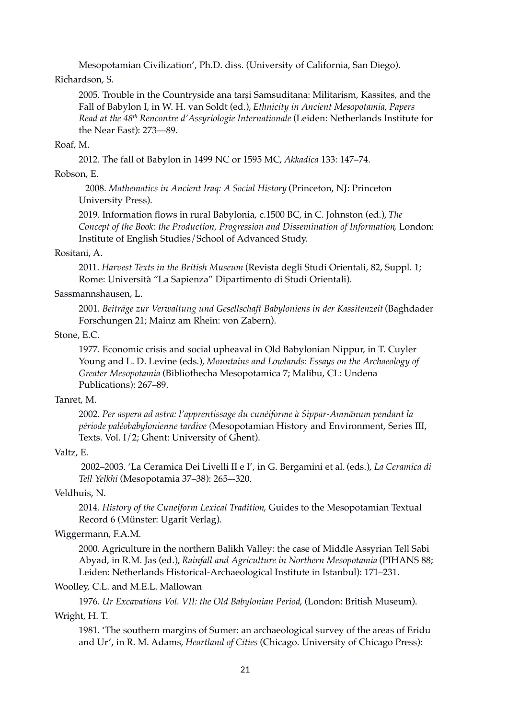Mesopotamian Civilization', Ph.D. diss. (University of California, San Diego).

## Richardson, S.

2005. Trouble in the Countryside ana tarṣi Samsuditana: Militarism, Kassites, and the Fall of Babylon I, in W. H. van Soldt (ed.), *Ethnicity in Ancient Mesopotamia*, *Papers Read at the 48th Rencontre d'Assyriologie Internationale* (Leiden: Netherlands Institute for the Near East): 273—89.

## Roaf, M.

2012. The fall of Babylon in 1499 NC or 1595 MC, *Akkadica* 133: 147–74.

## Robson, E.

2008. *Mathematics in Ancient Iraq: A Social History* (Princeton, NJ: Princeton University Press).

2019. Information flows in rural Babylonia, c.1500 BC, in C. Johnston (ed.), *The Concept of the Book: the Production, Progression and Dissemination of Information*, London: Institute of English Studies/School of Advanced Study.

## Rositani, A.

2011. *Harvest Texts in the British Museum* (Revista degli Studi Orientali, 82, Suppl. 1; Rome: Università "La Sapienza" Dipartimento di Studi Orientali).

## Sassmannshausen, L.

2001. *Beiträge zur Verwaltung und Gesellschaft Babyloniens in der Kassitenzeit* (Baghdader Forschungen 21; Mainz am Rhein: von Zabern).

## Stone, E.C.

1977. Economic crisis and social upheaval in Old Babylonian Nippur, in T. Cuyler Young and L. D. Levine (eds.), *Mountains and Lowlands: Essays on the Archaeology of Greater Mesopotamia* (Bibliothecha Mesopotamica 7; Malibu, CL: Undena Publications): 267–89.

## Tanret, M.

2002. *Per aspera ad astra: l'apprentissage du cunéiforme à Sippar-Amnānum pendant la période paléobabylonienne tardive (*Mesopotamian History and Environment, Series III, Texts. Vol. I/2; Ghent: University of Ghent).

## Valtz, E.

 2002–2003. 'La Ceramica Dei Livelli II e I', in G. Bergamini et al. (eds.), *La Ceramica di Tell Yelkhi* (Mesopotamia 37–38): 265–-320.

## Veldhuis, N.

2014. *History of the Cuneiform Lexical Tradition*, Guides to the Mesopotamian Textual Record 6 (Münster: Ugarit Verlag).

## Wiggermann, F.A.M.

2000. Agriculture in the northern Balikh Valley: the case of Middle Assyrian Tell Sabi Abyad, in R.M. Jas (ed.), *Rainfall and Agriculture in Northern Mesopotamia* (PIHANS 88; Leiden: Netherlands Historical-Archaeological Institute in Istanbul): 171–231.

## Woolley, C.L. and M.E.L. Mallowan

1976. *Ur Excavations Vol. VII: the Old Babylonian Period*, (London: British Museum). Wright, H. T.

1981. 'The southern margins of Sumer: an archaeological survey of the areas of Eridu and Ur', in R. M. Adams, *Heartland of Cities* (Chicago. University of Chicago Press):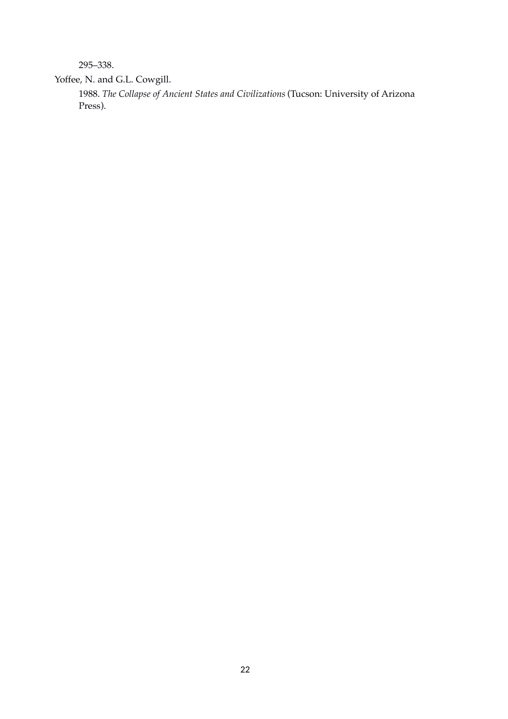295–338.

Yoffee, N. and G.L. Cowgill.

1988. *The Collapse of Ancient States and Civilizations* (Tucson: University of Arizona Press).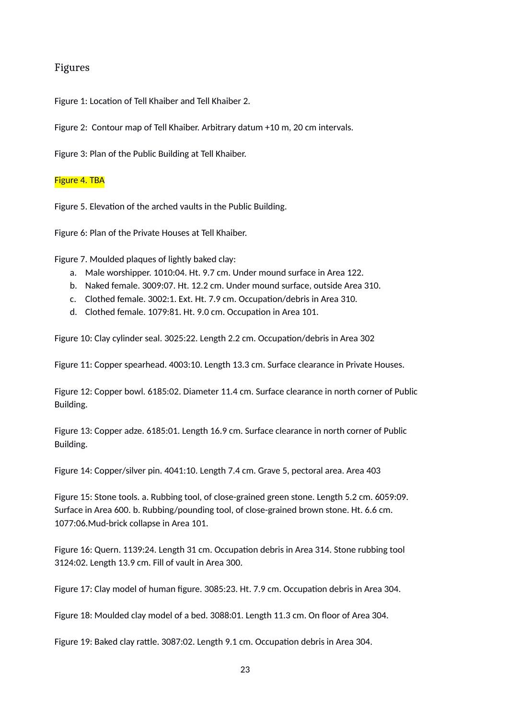## Figures

Figure 1: Location of Tell Khaiber and Tell Khaiber 2.

Figure 2: Contour map of Tell Khaiber. Arbitrary datum +10 m, 20 cm intervals.

Figure 3: Plan of the Public Building at Tell Khaiber.

#### Figure 4. TBA

Figure 5. Elevation of the arched vaults in the Public Building.

Figure 6: Plan of the Private Houses at Tell Khaiber.

Figure 7. Moulded plaques of lightly baked clay:

- a. Male worshipper. 1010:04. Ht. 9.7 cm. Under mound surface in Area 122.
- b. Naked female. 3009:07. Ht. 12.2 cm. Under mound surface, outside Area 310.
- c. Clothed female. 3002:1. Ext. Ht. 7.9 cm. Occupation/debris in Area 310.
- d. Clothed female. 1079:81. Ht. 9.0 cm. Occupation in Area 101.

Figure 10: Clay cylinder seal. 3025:22. Length 2.2 cm. Occupation/debris in Area 302

Figure 11: Copper spearhead. 4003:10. Length 13.3 cm. Surface clearance in Private Houses.

Figure 12: Copper bowl. 6185:02. Diameter 11.4 cm. Surface clearance in north corner of Public Building.

Figure 13: Copper adze. 6185:01. Length 16.9 cm. Surface clearance in north corner of Public Building.

Figure 14: Copper/silver pin. 4041:10. Length 7.4 cm. Grave 5, pectoral area. Area 403

Figure 15: Stone tools. a. Rubbing tool, of close-grained green stone. Length 5.2 cm. 6059:09. Surface in Area 600. b. Rubbing/pounding tool, of close-grained brown stone. Ht. 6.6 cm. 1077:06.Mud-brick collapse in Area 101.

Figure 16: Quern. 1139:24. Length 31 cm. Occupation debris in Area 314. Stone rubbing tool 3124:02. Length 13.9 cm. Fill of vault in Area 300.

Figure 17: Clay model of human figure. 3085:23. Ht. 7.9 cm. Occupation debris in Area 304.

Figure 18: Moulded clay model of a bed. 3088:01. Length 11.3 cm. On floor of Area 304.

Figure 19: Baked clay rattle. 3087:02. Length 9.1 cm. Occupation debris in Area 304.